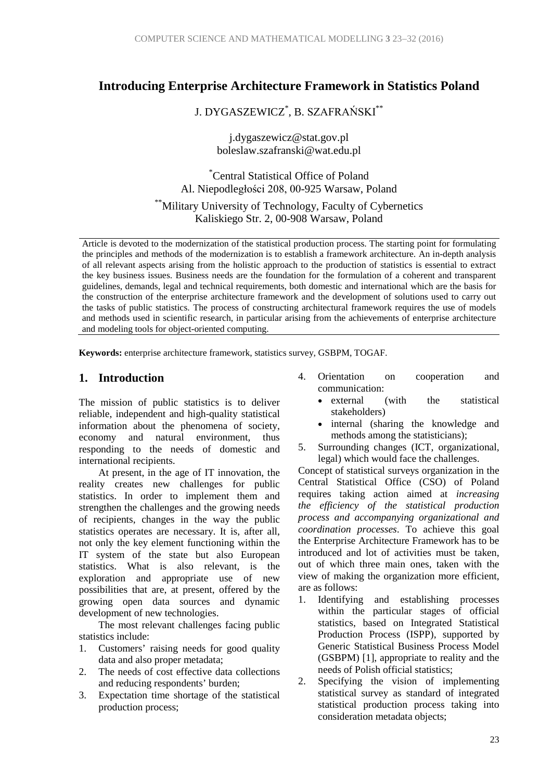## **Introducing Enterprise Architecture Framework in Statistics Poland**

J. DYGASZEWICZ\* , B. SZAFRAŃSKI\*\*

j.dygaszewicz@stat.gov.pl boleslaw.szafranski@wat.edu.pl

\* Central Statistical Office of Poland Al. Niepodległości 208, 00-925 Warsaw, Poland

\*\*Military University of Technology, Faculty of Cybernetics Kaliskiego Str. 2, 00-908 Warsaw, Poland

Article is devoted to the modernization of the statistical production process. The starting point for formulating the principles and methods of the modernization is to establish a framework architecture. An in-depth analysis of all relevant aspects arising from the holistic approach to the production of statistics is essential to extract the key business issues. Business needs are the foundation for the formulation of a coherent and transparent guidelines, demands, legal and technical requirements, both domestic and international which are the basis for the construction of the enterprise architecture framework and the development of solutions used to carry out the tasks of public statistics. The process of constructing architectural framework requires the use of models and methods used in scientific research, in particular arising from the achievements of enterprise architecture and modeling tools for object-oriented computing.

**Keywords:** enterprise architecture framework, statistics survey, GSBPM, TOGAF.

#### **1. Introduction**

The mission of public statistics is to deliver reliable, independent and high-quality statistical information about the phenomena of society, economy and natural environment, thus responding to the needs of domestic and international recipients.

At present, in the age of IT innovation, the reality creates new challenges for public statistics. In order to implement them and strengthen the challenges and the growing needs of recipients, changes in the way the public statistics operates are necessary. It is, after all, not only the key element functioning within the IT system of the state but also European statistics. What is also relevant, is the exploration and appropriate use of new possibilities that are, at present, offered by the growing open data sources and dynamic development of new technologies.

The most relevant challenges facing public statistics include:

- 1. Customers' raising needs for good quality data and also proper metadata;
- 2. The needs of cost effective data collections and reducing respondents' burden;
- 3. Expectation time shortage of the statistical production process;
- 4. Orientation on cooperation and communication:
	- external (with the statistical stakeholders)
	- internal (sharing the knowledge and methods among the statisticians);
- 5. Surrounding changes (ICT, organizational, legal) which would face the challenges.

Concept of statistical surveys organization in the Central Statistical Office (CSO) of Poland requires taking action aimed at *increasing the efficiency of the statistical production process and accompanying organizational and coordination processes*. To achieve this goal the Enterprise Architecture Framework has to be introduced and lot of activities must be taken, out of which three main ones, taken with the view of making the organization more efficient, are as follows:

- 1. Identifying and establishing processes within the particular stages of official statistics, based on Integrated Statistical Production Process (ISPP), supported by Generic Statistical Business Process Model (GSBPM) [1], appropriate to reality and the needs of Polish official statistics;
- 2. Specifying the vision of implementing statistical survey as standard of integrated statistical production process taking into consideration metadata objects;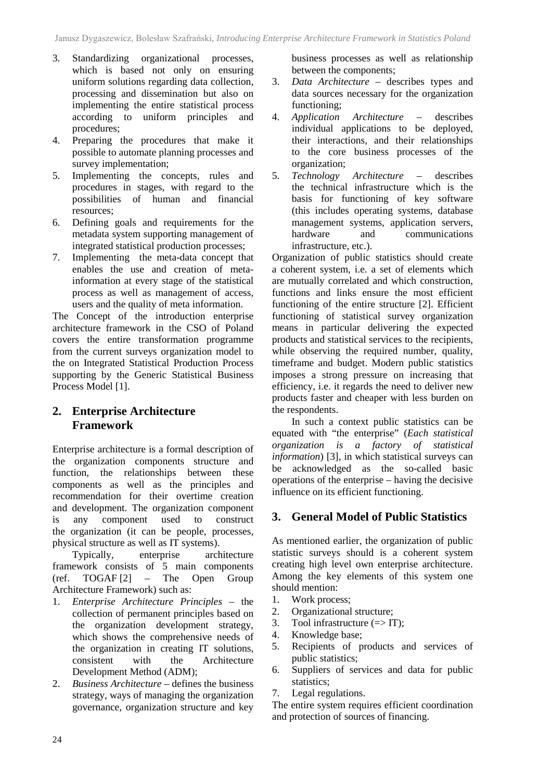- 3. Standardizing organizational processes, which is based not only on ensuring uniform solutions regarding data collection, processing and dissemination but also on implementing the entire statistical process according to uniform principles and procedures;
- 4. Preparing the procedures that make it possible to automate planning processes and survey implementation;
- 5. Implementing the concepts, rules and procedures in stages, with regard to the possibilities of human and financial resources;
- 6. Defining goals and requirements for the metadata system supporting management of integrated statistical production processes;
- 7. Implementing the meta-data concept that enables the use and creation of metainformation at every stage of the statistical process as well as management of access, users and the quality of meta information.

The Concept of the introduction enterprise architecture framework in the CSO of Poland covers the entire transformation programme from the current surveys organization model to the on Integrated Statistical Production Process supporting by the Generic Statistical Business Process Model [1].

### **2. Enterprise Architecture Framework**

Enterprise architecture is a formal description of the organization components structure and function, the relationships between these components as well as the principles and recommendation for their overtime creation and development. The organization component is any component used to construct the organization (it can be people, processes, physical structure as well as IT systems).

Typically, enterprise architecture framework consists of 5 main components (ref. TOGAF [2] – The Open Group Architecture Framework) such as:

- 1. *Enterprise Architecture Principles* the collection of permanent principles based on the organization development strategy, which shows the comprehensive needs of the organization in creating IT solutions, consistent with the Architecture Development Method (ADM);
- 2. *Business Architecture* defines the business strategy, ways of managing the organization governance, organization structure and key

business processes as well as relationship between the components;

- 3. *Data Architecture* describes types and data sources necessary for the organization functioning;
- 4. *Application Architecture* describes individual applications to be deployed, their interactions, and their relationships to the core business processes of the organization;
- 5. *Technology Architecture* describes the technical infrastructure which is the basis for functioning of key software (this includes operating systems, database management systems, application servers, hardware and communications infrastructure, etc.).

Organization of public statistics should create a coherent system, i.e. a set of elements which are mutually correlated and which construction, functions and links ensure the most efficient functioning of the entire structure [2]. Efficient functioning of statistical survey organization means in particular delivering the expected products and statistical services to the recipients, while observing the required number, quality, timeframe and budget. Modern public statistics imposes a strong pressure on increasing that efficiency, i.e. it regards the need to deliver new products faster and cheaper with less burden on the respondents.

In such a context public statistics can be equated with "the enterprise" (*Each statistical organization is a factory of statistical information*) [3], in which statistical surveys can be acknowledged as the so-called basic operations of the enterprise – having the decisive influence on its efficient functioning.

#### **3. General Model of Public Statistics**

As mentioned earlier, the organization of public statistic surveys should is a coherent system creating high level own enterprise architecture. Among the key elements of this system one should mention:

- 1. Work process;
- 2. Organizational structure;
- 3. Tool infrastructure  $(\Rightarrow IT)$ ;
- 4. Knowledge base;
- 5. Recipients of products and services of public statistics;
- 6. Suppliers of services and data for public statistics;
- 7. Legal regulations.

The entire system requires efficient coordination and protection of sources of financing.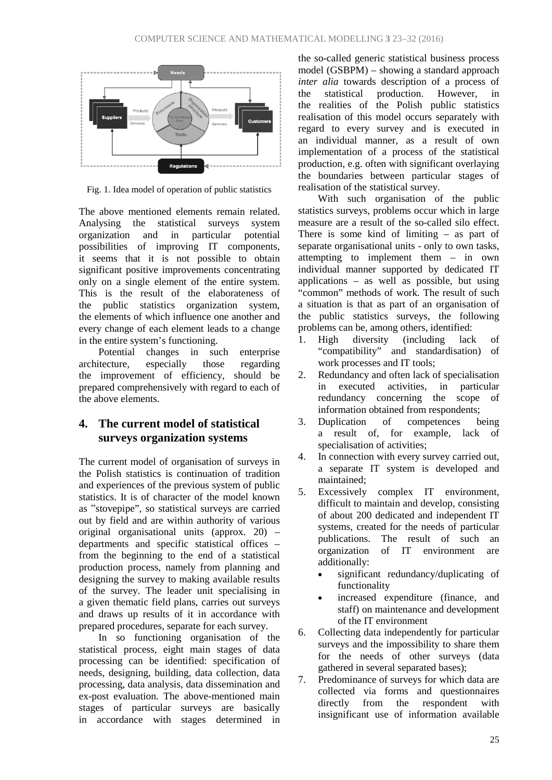

Fig. 1. Idea model of operation of public statistics

The above mentioned elements remain related. Analysing the statistical surveys system organization and in particular potential possibilities of improving IT components, it seems that it is not possible to obtain significant positive improvements concentrating only on a single element of the entire system. This is the result of the elaborateness of the public statistics organization system, the elements of which influence one another and every change of each element leads to a change in the entire system's functioning.

Potential changes in such enterprise<br>itecture. especially those regarding architecture, especially those regarding the improvement of efficiency, should be prepared comprehensively with regard to each of the above elements.

# **4. The current model of statistical surveys organization systems**

The current model of organisation of surveys in the Polish statistics is continuation of tradition and experiences of the previous system of public statistics. It is of character of the model known as "stovepipe", so statistical surveys are carried out by field and are within authority of various original organisational units (approx. 20) – departments and specific statistical offices – from the beginning to the end of a statistical production process, namely from planning and designing the survey to making available results of the survey. The leader unit specialising in a given thematic field plans, carries out surveys and draws up results of it in accordance with prepared procedures, separate for each survey.

In so functioning organisation of the statistical process, eight main stages of data processing can be identified: specification of needs, designing, building, data collection, data processing, data analysis, data dissemination and ex-post evaluation. The above-mentioned main stages of particular surveys are basically in accordance with stages determined in

the so-called generic statistical business process model (GSBPM) – showing a standard approach *inter alia* towards description of a process of the statistical production. However, in the realities of the Polish public statistics realisation of this model occurs separately with regard to every survey and is executed in an individual manner, as a result of own implementation of a process of the statistical production, e.g. often with significant overlaying the boundaries between particular stages of realisation of the statistical survey.

With such organisation of the public statistics surveys, problems occur which in large measure are a result of the so-called silo effect. There is some kind of limiting – as part of separate organisational units - only to own tasks, attempting to implement them – in own individual manner supported by dedicated IT applications – as well as possible, but using "common" methods of work. The result of such a situation is that as part of an organisation of the public statistics surveys, the following problems can be, among others, identified:

- 1. High diversity (including lack of "compatibility" and standardisation) of work processes and IT tools;
- 2. Redundancy and often lack of specialisation in executed activities, in particular redundancy concerning the scope of information obtained from respondents;
- 3. Duplication of competences being a result of, for example, lack of specialisation of activities:
- 4. In connection with every survey carried out, a separate IT system is developed and maintained;
- 5. Excessively complex IT environment, difficult to maintain and develop, consisting of about 200 dedicated and independent IT systems, created for the needs of particular publications. The result of such an organization of IT environment are additionally:
	- significant redundancy/duplicating of functionality
	- increased expenditure (finance, and staff) on maintenance and development of the IT environment
- 6. Collecting data independently for particular surveys and the impossibility to share them for the needs of other surveys (data gathered in several separated bases);
- 7. Predominance of surveys for which data are collected via forms and questionnaires directly from the respondent with insignificant use of information available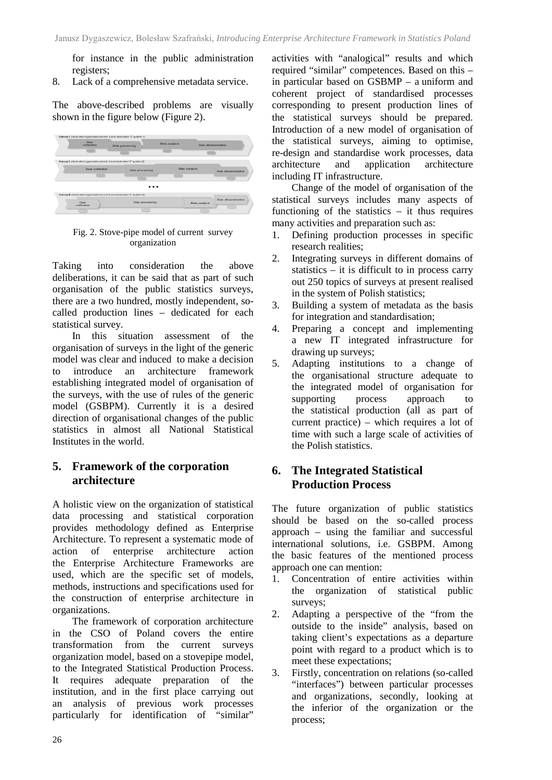for instance in the public administration registers;

8. Lack of a comprehensive metadata service.

The above-described problems are visually shown in the figure below (Figure 2).



Fig. 2. Stove-pipe model of current survey organization

Taking into consideration the above deliberations, it can be said that as part of such organisation of the public statistics surveys, there are a two hundred, mostly independent, socalled production lines – dedicated for each statistical survey.

In this situation assessment of the organisation of surveys in the light of the generic model was clear and induced to make a decision to introduce an architecture framework establishing integrated model of organisation of the surveys, with the use of rules of the generic model (GSBPM). Currently it is a desired direction of organisational changes of the public statistics in almost all National Statistical Institutes in the world.

### **5. Framework of the corporation architecture**

A holistic view on the organization of statistical data processing and statistical corporation provides methodology defined as Enterprise Architecture. To represent a systematic mode of action of enterprise architecture action the Enterprise Architecture Frameworks are used, which are the specific set of models, methods, instructions and specifications used for the construction of enterprise architecture in organizations.

The framework of corporation architecture in the CSO of Poland covers the entire transformation from the current surveys organization model, based on a stovepipe model, to the Integrated Statistical Production Process. It requires adequate preparation of the institution, and in the first place carrying out an analysis of previous work processes particularly for identification of "similar"

activities with "analogical" results and which required "similar" competences. Based on this – in particular based on GSBMP – a uniform and coherent project of standardised processes corresponding to present production lines of the statistical surveys should be prepared. Introduction of a new model of organisation of the statistical surveys, aiming to optimise, re-design and standardise work processes, data architecture and application architecture including IT infrastructure.

Change of the model of organisation of the statistical surveys includes many aspects of functioning of the statistics – it thus requires many activities and preparation such as:

- 1. Defining production processes in specific research realities;
- 2. Integrating surveys in different domains of statistics – it is difficult to in process carry out 250 topics of surveys at present realised in the system of Polish statistics;
- 3. Building a system of metadata as the basis for integration and standardisation;
- 4. Preparing a concept and implementing a new IT integrated infrastructure for drawing up surveys;
- 5. Adapting institutions to a change of the organisational structure adequate to the integrated model of organisation for supporting process approach to the statistical production (all as part of current practice) – which requires a lot of time with such a large scale of activities of the Polish statistics.

# **6. The Integrated Statistical Production Process**

The future organization of public statistics should be based on the so-called process approach – using the familiar and successful international solutions, i.e. GSBPM. Among the basic features of the mentioned process approach one can mention:

- 1. Concentration of entire activities within the organization of statistical public surveys;
- 2. Adapting a perspective of the "from the outside to the inside" analysis, based on taking client's expectations as a departure point with regard to a product which is to meet these expectations;
- 3. Firstly, concentration on relations (so-called "interfaces") between particular processes and organizations, secondly, looking at the inferior of the organization or the process;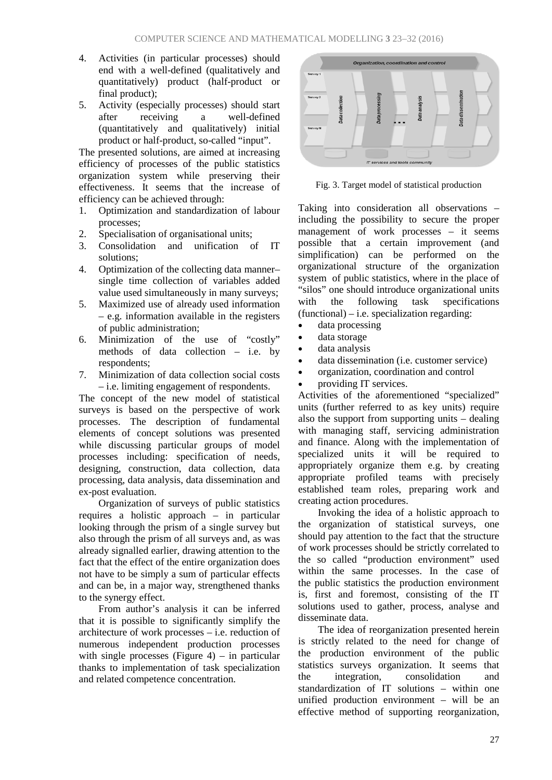- 4. Activities (in particular processes) should end with a well-defined (qualitatively and quantitatively) product (half-product or final product);
- 5. Activity (especially processes) should start after receiving a well-defined (quantitatively and qualitatively) initial product or half-product, so-called "input".

The presented solutions, are aimed at increasing efficiency of processes of the public statistics organization system while preserving their effectiveness. It seems that the increase of efficiency can be achieved through:

- 1. Optimization and standardization of labour processes;
- 2. Specialisation of organisational units;
- 3. Consolidation and unification of IT solutions;
- 4. Optimization of the collecting data manner– single time collection of variables added value used simultaneously in many surveys;
- 5. Maximized use of already used information – e.g. information available in the registers of public administration;
- 6. Minimization of the use of "costly" methods of data collection – i.e. by respondents;
- 7. Minimization of data collection social costs – i.e. limiting engagement of respondents.

The concept of the new model of statistical surveys is based on the perspective of work processes. The description of fundamental elements of concept solutions was presented while discussing particular groups of model processes including: specification of needs, designing, construction, data collection, data processing, data analysis, data dissemination and ex-post evaluation.

Organization of surveys of public statistics requires a holistic approach – in particular looking through the prism of a single survey but also through the prism of all surveys and, as was already signalled earlier, drawing attention to the fact that the effect of the entire organization does not have to be simply a sum of particular effects and can be, in a major way, strengthened thanks to the synergy effect.

From author's analysis it can be inferred that it is possible to significantly simplify the architecture of work processes – i.e. reduction of numerous independent production processes with single processes (Figure  $4$ ) – in particular thanks to implementation of task specialization and related competence concentration.



Fig. 3. Target model of statistical production

Taking into consideration all observations – including the possibility to secure the proper management of work processes – it seems possible that a certain improvement (and simplification) can be performed on the organizational structure of the organization system of public statistics, where in the place of "silos" one should introduce organizational units with the following task specifications (functional) – i.e. specialization regarding:

- data processing
- data storage
- data analysis
- data dissemination (i.e. customer service)
- organization, coordination and control
- providing IT services.

Activities of the aforementioned "specialized" units (further referred to as key units) require also the support from supporting units – dealing with managing staff, servicing administration and finance. Along with the implementation of specialized units it will be required to appropriately organize them e.g. by creating appropriate profiled teams with precisely established team roles, preparing work and creating action procedures.

Invoking the idea of a holistic approach to the organization of statistical surveys, one should pay attention to the fact that the structure of work processes should be strictly correlated to the so called "production environment" used within the same processes. In the case of the public statistics the production environment is, first and foremost, consisting of the IT solutions used to gather, process, analyse and disseminate data.

The idea of reorganization presented herein is strictly related to the need for change of the production environment of the public statistics surveys organization. It seems that the integration consolidation and standardization of IT solutions – within one unified production environment – will be an effective method of supporting reorganization,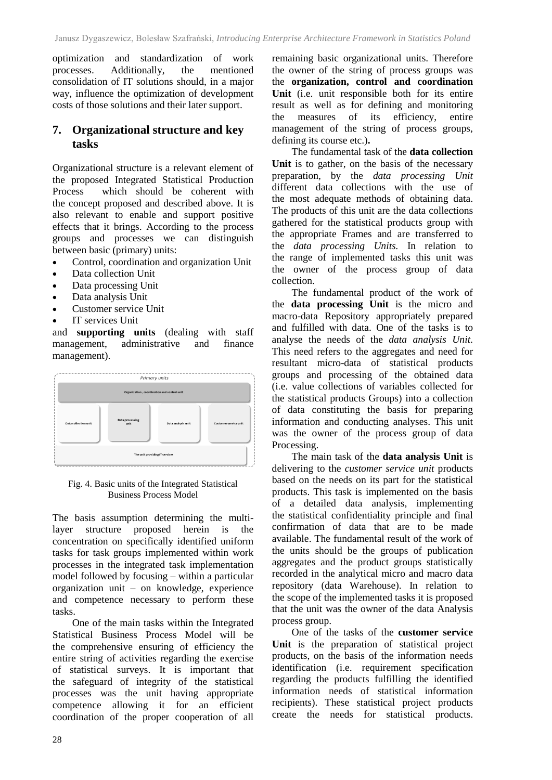optimization and standardization of work processes. Additionally, the mentioned consolidation of IT solutions should, in a major way, influence the optimization of development costs of those solutions and their later support.

#### **7. Organizational structure and key tasks**

Organizational structure is a relevant element of the proposed Integrated Statistical Production Process which should be coherent with the concept proposed and described above. It is also relevant to enable and support positive effects that it brings. According to the process groups and processes we can distinguish between basic (primary) units:

- Control, coordination and organization Unit
- Data collection Unit
- Data processing Unit
- Data analysis Unit
- Customer service Unit
- IT services Unit

and **supporting units** (dealing with staff management, administrative and finance management).



#### Fig. 4. Basic units of the Integrated Statistical Business Process Model

The basis assumption determining the multilayer structure proposed herein is the concentration on specifically identified uniform tasks for task groups implemented within work processes in the integrated task implementation model followed by focusing – within a particular organization unit – on knowledge, experience and competence necessary to perform these tasks.

One of the main tasks within the Integrated Statistical Business Process Model will be the comprehensive ensuring of efficiency the entire string of activities regarding the exercise of statistical surveys. It is important that the safeguard of integrity of the statistical processes was the unit having appropriate competence allowing it for an efficient coordination of the proper cooperation of all

remaining basic organizational units. Therefore the owner of the string of process groups was the **organization, control and coordination Unit** (i.e. unit responsible both for its entire result as well as for defining and monitoring the measures of its efficiency, entire management of the string of process groups, defining its course etc.)**.** 

The fundamental task of the **data collection**  Unit is to gather, on the basis of the necessary preparation, by the *data processing Unit* different data collections with the use of the most adequate methods of obtaining data. The products of this unit are the data collections gathered for the statistical products group with the appropriate Frames and are transferred to the *data processing Units.* In relation to the range of implemented tasks this unit was the owner of the process group of data collection.

The fundamental product of the work of the **data processing Unit** is the micro and macro-data Repository appropriately prepared and fulfilled with data. One of the tasks is to analyse the needs of the *data analysis Unit*. This need refers to the aggregates and need for resultant micro-data of statistical products groups and processing of the obtained data (i.e. value collections of variables collected for the statistical products Groups) into a collection of data constituting the basis for preparing information and conducting analyses. This unit was the owner of the process group of data Processing.

The main task of the **data analysis Unit** is delivering to the *customer service unit* products based on the needs on its part for the statistical products. This task is implemented on the basis of a detailed data analysis, implementing the statistical confidentiality principle and final confirmation of data that are to be made available. The fundamental result of the work of the units should be the groups of publication aggregates and the product groups statistically recorded in the analytical micro and macro data repository (data Warehouse). In relation to the scope of the implemented tasks it is proposed that the unit was the owner of the data Analysis process group.

One of the tasks of the **customer service Unit** is the preparation of statistical project products, on the basis of the information needs identification (i.e. requirement specification regarding the products fulfilling the identified information needs of statistical information recipients). These statistical project products create the needs for statistical products.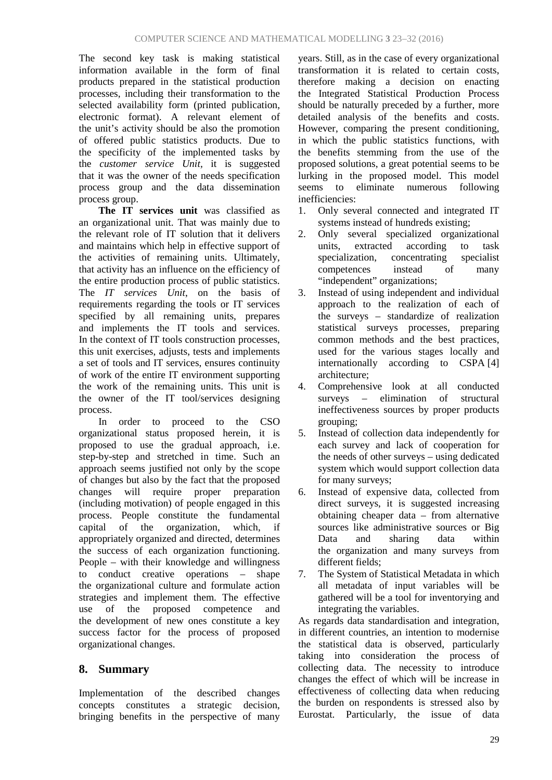The second key task is making statistical information available in the form of final products prepared in the statistical production processes, including their transformation to the selected availability form (printed publication, electronic format). A relevant element of the unit's activity should be also the promotion of offered public statistics products. Due to the specificity of the implemented tasks by the *customer service Unit,* it is suggested that it was the owner of the needs specification process group and the data dissemination process group.

**The IT services unit** was classified as an organizational unit. That was mainly due to the relevant role of IT solution that it delivers and maintains which help in effective support of the activities of remaining units. Ultimately, that activity has an influence on the efficiency of the entire production process of public statistics. The *IT services Unit*, on the basis of requirements regarding the tools or IT services specified by all remaining units, prepares and implements the IT tools and services. In the context of IT tools construction processes, this unit exercises, adjusts, tests and implements a set of tools and IT services, ensures continuity of work of the entire IT environment supporting the work of the remaining units. This unit is the owner of the IT tool/services designing process.

In order to proceed to the CSO organizational status proposed herein, it is proposed to use the gradual approach, i.e. step-by-step and stretched in time. Such an approach seems justified not only by the scope of changes but also by the fact that the proposed changes will require proper preparation (including motivation) of people engaged in this process. People constitute the fundamental capital of the organization, which, if appropriately organized and directed, determines the success of each organization functioning. People – with their knowledge and willingness to conduct creative operations – shape the organizational culture and formulate action strategies and implement them. The effective use of the proposed competence and the development of new ones constitute a key success factor for the process of proposed organizational changes.

# **8. Summary**

Implementation of the described changes concepts constitutes a strategic decision, bringing benefits in the perspective of many years. Still, as in the case of every organizational transformation it is related to certain costs, therefore making a decision on enacting the Integrated Statistical Production Process should be naturally preceded by a further, more detailed analysis of the benefits and costs. However, comparing the present conditioning, in which the public statistics functions, with the benefits stemming from the use of the proposed solutions, a great potential seems to be lurking in the proposed model. This model seems to eliminate numerous following inefficiencies:

- 1. Only several connected and integrated IT systems instead of hundreds existing;
- 2. Only several specialized organizational units, extracted according to task specialization, concentrating specialist competences instead of many "independent" organizations;
- 3. Instead of using independent and individual approach to the realization of each of the surveys – standardize of realization statistical surveys processes, preparing common methods and the best practices, used for the various stages locally and internationally according to CSPA [4] architecture;
- 4. Comprehensive look at all conducted surveys – elimination of structural ineffectiveness sources by proper products grouping;
- 5. Instead of collection data independently for each survey and lack of cooperation for the needs of other surveys – using dedicated system which would support collection data for many surveys;
- 6. Instead of expensive data, collected from direct surveys, it is suggested increasing obtaining cheaper data – from alternative sources like administrative sources or Big Data and sharing data within the organization and many surveys from different fields;
- 7. The System of Statistical Metadata in which all metadata of input variables will be gathered will be a tool for inventorying and integrating the variables.

As regards data standardisation and integration, in different countries, an intention to modernise the statistical data is observed, particularly taking into consideration the process of collecting data. The necessity to introduce changes the effect of which will be increase in effectiveness of collecting data when reducing the burden on respondents is stressed also by Eurostat. Particularly, the issue of data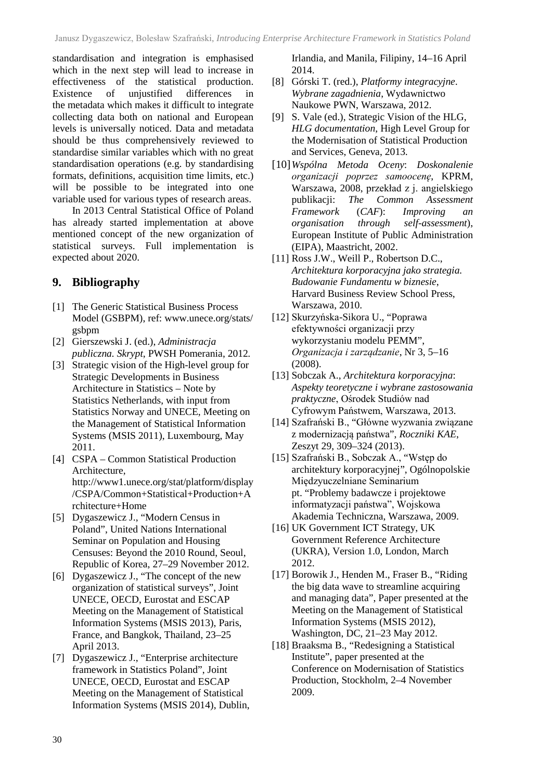standardisation and integration is emphasised which in the next step will lead to increase in effectiveness of the statistical production. Existence of unjustified differences in the metadata which makes it difficult to integrate collecting data both on national and European levels is universally noticed. Data and metadata should be thus comprehensively reviewed to standardise similar variables which with no great standardisation operations (e.g. by standardising formats, definitions, acquisition time limits, etc.) will be possible to be integrated into one variable used for various types of research areas.

In 2013 Central Statistical Office of Poland has already started implementation at above mentioned concept of the new organization of statistical surveys. Full implementation is expected about 2020.

# **9. Bibliography**

- [1] The Generic Statistical Business Process Model (GSBPM), ref: www.unece.org/stats/ gsbpm
- [2] Gierszewski J. (ed.), *Administracja publiczna. Skrypt*, PWSH Pomerania, 2012*.*
- [3] Strategic vision of the High-level group for Strategic Developments in Business Architecture in Statistics *–* Note by Statistics Netherlands, with input from Statistics Norway and UNECE, Meeting on the Management of Statistical Information Systems (MSIS 2011), Luxembourg, May 2011.
- [4] CSPA Common Statistical Production Architecture, http://www1.unece.org/stat/platform/display /CSPA/Common+Statistical+Production+A rchitecture+Home
- [5] Dygaszewicz J., "Modern Census in Poland", United Nations International Seminar on Population and Housing Censuses: Beyond the 2010 Round, Seoul, Republic of Korea, 27–29 November 2012.
- [6] Dygaszewicz J., "The concept of the new organization of statistical surveys", Joint UNECE, OECD, Eurostat and ESCAP Meeting on the Management of Statistical Information Systems (MSIS 2013), Paris, France, and Bangkok, Thailand, 23–25 April 2013.
- [7] Dygaszewicz J., "Enterprise architecture framework in Statistics Poland", Joint UNECE, OECD, Eurostat and ESCAP Meeting on the Management of Statistical Information Systems (MSIS 2014), Dublin,

Irlandia, and Manila, Filipiny, 14–16 April 2014.

- [8] Górski T. (red.), *Platformy integracyjne*. *Wybrane zagadnienia*, Wydawnictwo Naukowe PWN, Warszawa, 2012.
- [9] S. Vale (ed.), Strategic Vision of the HLG, *HLG documentation*, High Level Group for the Modernisation of Statistical Production and Services, Geneva, 2013.
- [10]*Wspólna Metoda Oceny*: *Doskonalenie organizacji poprzez samoocenę*, KPRM, Warszawa, 2008, przekład z j. angielskiego publikacji: *The Common Assessment Framework* (*CAF*): *Improving an organisation through self-assessment*), European Institute of Public Administration (EIPA), Maastricht, 2002.
- [11] Ross J.W., Weill P., Robertson D.C., *Architektura korporacyjna jako strategia. Budowanie Fundamentu w biznesie*, Harvard Business Review School Press, Warszawa, 2010.
- [12] Skurzyńska-Sikora U., "Poprawa efektywności organizacji przy wykorzystaniu modelu PEMM", *Organizacja i zarządzanie*, Nr 3, 5–16 (2008).
- [13] Sobczak A., *Architektura korporacyjna*: *Aspekty teoretyczne i wybrane zastosowania praktyczne*, Ośrodek Studiów nad Cyfrowym Państwem, Warszawa, 2013.
- [14] Szafrański B., "Główne wyzwania związane z modernizacją państwa", *Roczniki KAE*, Zeszyt 29, 309–324 (2013).
- [15] Szafrański B., Sobczak A., "Wstęp do architektury korporacyjnej", Ogólnopolskie Międzyuczelniane Seminarium pt. "Problemy badawcze i projektowe informatyzacji państwa", Wojskowa Akademia Techniczna, Warszawa, 2009.
- [16] UK Government ICT Strategy, UK Government Reference Architecture (UKRA), Version 1.0, London, March 2012.
- [17] Borowik J., Henden M., Fraser B., "Riding the big data wave to streamline acquiring and managing data", Paper presented at the Meeting on the Management of Statistical Information Systems (MSIS 2012), Washington, DC, 21–23 May 2012.
- [18] Braaksma B., "Redesigning a Statistical Institute", paper presented at the Conference on Modernisation of Statistics Production, Stockholm, 2–4 November 2009.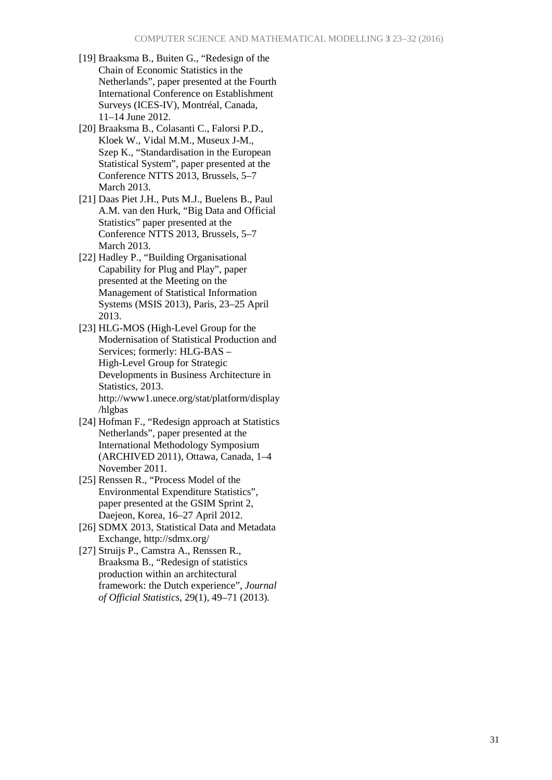- [19] Braaksma B., Buiten G., "Redesign of the Chain of Economic Statistics in the Netherlands", paper presented at the Fourth International Conference on Establishment Surveys (ICES-IV), Montréal, Canada, 11–14 June 2012.
- [20] Braaksma B., Colasanti C., Falorsi P.D., Kloek W., Vidal M.M., Museux J-M., Szep K., "Standardisation in the European Statistical System", paper presented at the Conference NTTS 2013, Brussels, 5–7 March 2013.
- [21] Daas Piet J.H., Puts M.J., Buelens B., Paul A.M. van den Hurk, "Big Data and Official Statistics" paper presented at the Conference NTTS 2013, Brussels, 5–7 March 2013.
- [22] Hadley P., "Building Organisational Capability for Plug and Play", paper presented at the Meeting on the Management of Statistical Information Systems (MSIS 2013), Paris, 23–25 April 2013.
- [23] HLG-MOS (High-Level Group for the Modernisation of Statistical Production and Services; formerly: HLG-BAS – High-Level Group for Strategic Developments in Business Architecture in Statistics, 2013. http://www1.unece.org/stat/platform/display /hlgbas
- [24] Hofman F., "Redesign approach at Statistics Netherlands", paper presented at the International Methodology Symposium (ARCHIVED 2011), Ottawa, Canada, 1–4 November 2011.
- [25] Renssen R., "Process Model of the Environmental Expenditure Statistics", paper presented at the GSIM Sprint 2, Daejeon, Korea, 16–27 April 2012.
- [26] SDMX 2013, Statistical Data and Metadata Exchange, http://sdmx.org/
- [27] Struijs P., Camstra A., Renssen R., Braaksma B., "Redesign of statistics production within an architectural framework: the Dutch experience", *Journal of Official Statistics*, 29(1), 49–71 (2013).